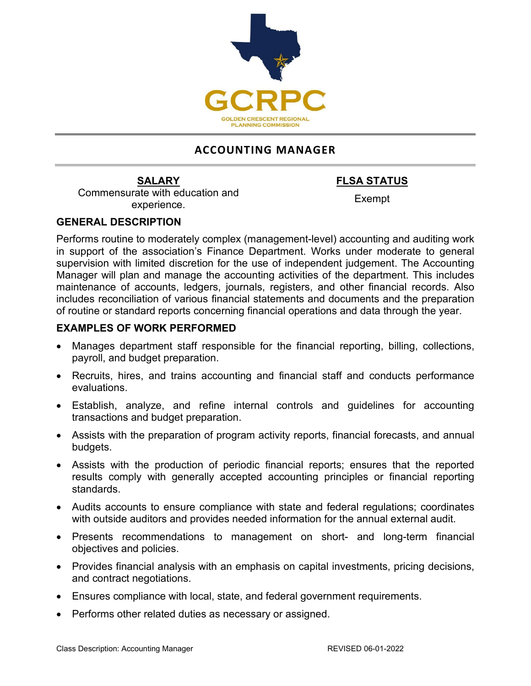

# **ACCOUNTING MANAGER**

Commensurate with education and experience. Exempt

**SALARY FLSA STATUS**

## **GENERAL DESCRIPTION**

Performs routine to moderately complex (management-level) accounting and auditing work in support of the association's Finance Department. Works under moderate to general supervision with limited discretion for the use of independent judgement. The Accounting Manager will plan and manage the accounting activities of the department. This includes maintenance of accounts, ledgers, journals, registers, and other financial records. Also includes reconciliation of various financial statements and documents and the preparation of routine or standard reports concerning financial operations and data through the year.

## **EXAMPLES OF WORK PERFORMED**

- Manages department staff responsible for the financial reporting, billing, collections, payroll, and budget preparation.
- Recruits, hires, and trains accounting and financial staff and conducts performance evaluations.
- Establish, analyze, and refine internal controls and guidelines for accounting transactions and budget preparation.
- Assists with the preparation of program activity reports, financial forecasts, and annual budgets.
- Assists with the production of periodic financial reports; ensures that the reported results comply with generally accepted accounting principles or financial reporting standards.
- Audits accounts to ensure compliance with state and federal regulations; coordinates with outside auditors and provides needed information for the annual external audit.
- Presents recommendations to management on short- and long-term financial objectives and policies.
- Provides financial analysis with an emphasis on capital investments, pricing decisions, and contract negotiations.
- Ensures compliance with local, state, and federal government requirements.
- Performs other related duties as necessary or assigned.